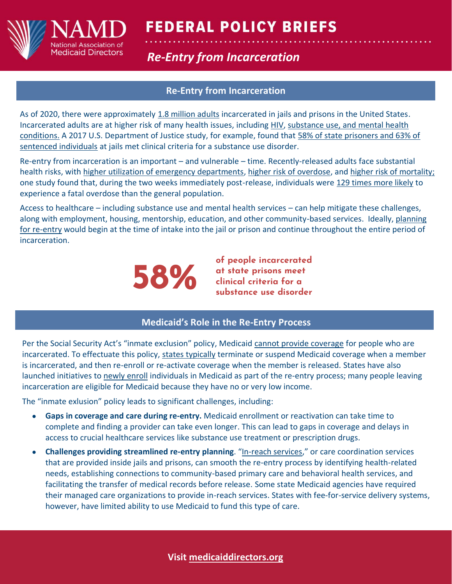

# **FEDERAL POLICY BRIEFS**

## **Re-Entry from Incarceration Integration**

### **Re-Entry from Incarceration**

As of 2020, there were approximately [1.8 million adults](https://www.vera.org/downloads/publications/people-in-jail-and-prison-in-2020.pdf) incarcerated in jails and prisons in the United States. Incarcerated adults are at higher risk of many health issues, including [HIV,](https://www.ncbi.nlm.nih.gov/pmc/articles/PMC3682655/) [substance use, and mental health](https://bjs.ojp.gov/content/pub/pdf/dudaspji0709.pdf)  [conditions.](https://bjs.ojp.gov/content/pub/pdf/dudaspji0709.pdf) A 2017 U.S. Department of Justice study, for example, found that [58% of state prisoners and 63% of](https://bjs.ojp.gov/content/pub/pdf/dudaspji0709.pdf)  [sentenced individuals](https://bjs.ojp.gov/content/pub/pdf/dudaspji0709.pdf) at jails met clinical criteria for a substance use disorder.

Re-entry from incarceration is an important – and vulnerable – time. Recently-released adults face substantial health risks, with [higher utilization of emergency departments,](https://pubmed.ncbi.nlm.nih.gov/24188513/) [higher risk of overdose,](https://pubmed.ncbi.nlm.nih.gov/31757517/) and [higher risk of mortality;](https://pubmed.ncbi.nlm.nih.gov/23078476/) one study found that, during the two weeks immediately post-release, individuals wer[e 129 times more likely](https://www.ncbi.nlm.nih.gov/pmc/articles/PMC2836121/) to experience a fatal overdose than the general population.

Access to healthcare – including substance use and mental health services – can help mitigate these challenges, along with employment, housing, mentorship, education, and other community-based services. Ideally, planning [for re-entry](https://www.samhsa.gov/criminal-juvenile-justice/sim-overview/intercept-4) would begin at the time of intake into the jail or prison and continue throughout the entire period of incarceration.



**of people incarcerated at state prisons meet clinical criteria for a substance use disorder** 

#### **Medicaid's Role in the Re-Entry Process**

Per the Social Security Act's "inmate exclusion" policy, Medicaid [cannot provide coverage](https://www.ecfr.gov/current/title-42/chapter-IV/subchapter-C/part-435/subpart-K/subject-group-ECFR87e8ed6bfd3adb9/section-435.1009) for people who are incarcerated. To effectuate this policy, [states typically](https://www.macpac.gov/wp-content/uploads/2018/07/Medicaid-and-the-Criminal-Justice-System.pdf) terminate or suspend Medicaid coverage when a member is incarcerated, and then re-enroll or re-activate coverage when the member is released. States have also launched initiatives to [newly enroll](https://www.macpac.gov/wp-content/uploads/2018/07/Medicaid-and-the-Criminal-Justice-System.pdf) individuals in Medicaid as part of the re-entry process; many people leaving incarceration are eligible for Medicaid because they have no or very low income.

The "inmate exlusion" policy leads to significant challenges, including:

- **Gaps in coverage and care during re-entry.** Medicaid enrollment or reactivation can take time to complete and finding a provider can take even longer. This can lead to gaps in coverage and delays in access to crucial healthcare services like substance use treatment or prescription drugs.
- **Challenges providing streamlined re-entry planning**. "[In-reach services](https://www.commonwealthfund.org/sites/default/files/2019-01/Guyer_state_strategies_justice_involved_Medicaid_ib.pdf)," or care coordination services that are provided inside jails and prisons, can smooth the re-entry process by identifying health-related needs, establishing connections to community-based primary care and behavioral health services, and facilitating the transfer of medical records before release. Some state Medicaid agencies have required their managed care organizations to provide in-reach services. States with fee-for-service delivery systems, however, have limited ability to use Medicaid to fund this type of care.